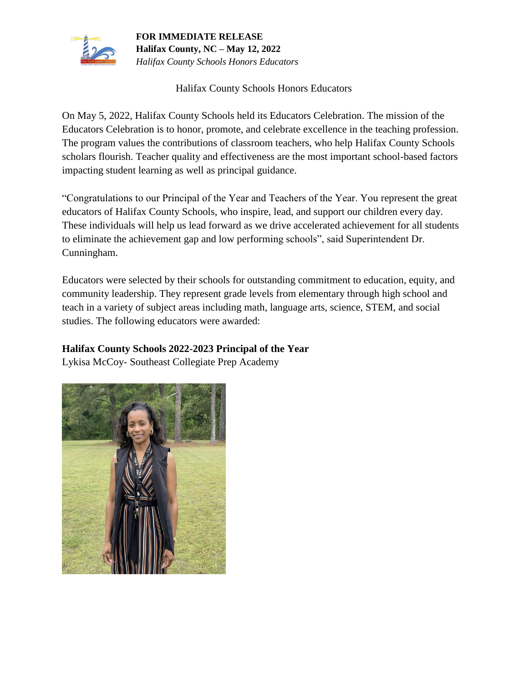

Halifax County Schools Honors Educators

On May 5, 2022, Halifax County Schools held its Educators Celebration. The mission of the Educators Celebration is to honor, promote, and celebrate excellence in the teaching profession. The program values the contributions of classroom teachers, who help Halifax County Schools scholars flourish. Teacher quality and effectiveness are the most important school-based factors impacting student learning as well as principal guidance.

"Congratulations to our Principal of the Year and Teachers of the Year. You represent the great educators of Halifax County Schools, who inspire, lead, and support our children every day. These individuals will help us lead forward as we drive accelerated achievement for all students to eliminate the achievement gap and low performing schools", said Superintendent Dr. Cunningham.

Educators were selected by their schools for outstanding commitment to education, equity, and community leadership. They represent grade levels from elementary through high school and teach in a variety of subject areas including math, language arts, science, STEM, and social studies. The following educators were awarded:

## **Halifax County Schools 2022-2023 Principal of the Year**

Lykisa McCoy- Southeast Collegiate Prep Academy

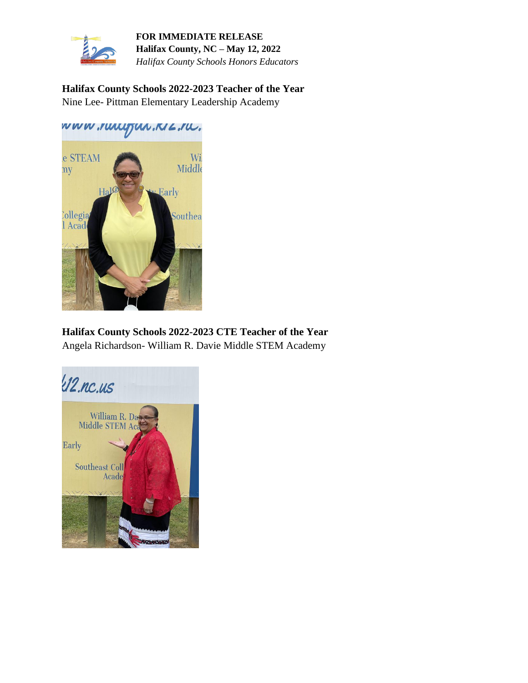

**Halifax County Schools 2022-2023 Teacher of the Year**  Nine Lee- Pittman Elementary Leadership Academy

www.ruugjun.NZ.ru.



**Halifax County Schools 2022-2023 CTE Teacher of the Year**  Angela Richardson- William R. Davie Middle STEM Academy

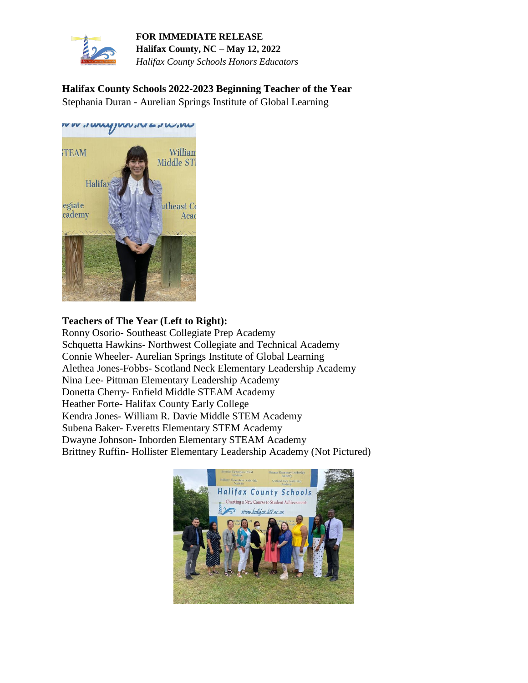

**Halifax County Schools 2022-2023 Beginning Teacher of the Year**  Stephania Duran - Aurelian Springs Institute of Global Learning



## **Teachers of The Year (Left to Right):**

Ronny Osorio- Southeast Collegiate Prep Academy Schquetta Hawkins- Northwest Collegiate and Technical Academy Connie Wheeler- Aurelian Springs Institute of Global Learning Alethea Jones-Fobbs- Scotland Neck Elementary Leadership Academy Nina Lee- Pittman Elementary Leadership Academy Donetta Cherry- Enfield Middle STEAM Academy Heather Forte- Halifax County Early College Kendra Jones- William R. Davie Middle STEM Academy Subena Baker- Everetts Elementary STEM Academy Dwayne Johnson- Inborden Elementary STEAM Academy Brittney Ruffin- Hollister Elementary Leadership Academy (Not Pictured)